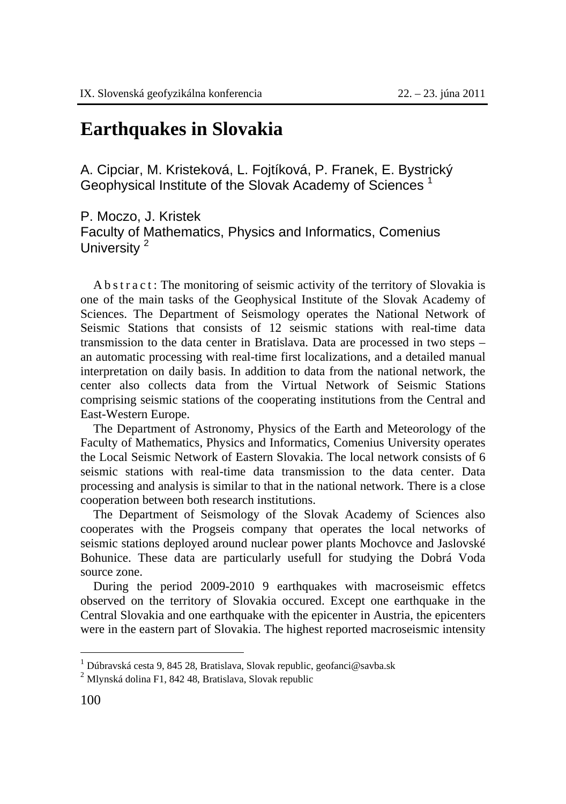## **Earthquakes in Slovakia**

A. Cipciar, M. Kristeková, L. Fojtíková, P. Franek, E. Bystrický Geophysical Institute of the Slovak Academy of Sciences<sup>1</sup>

P. Moczo, J. Kristek Faculty of Mathematics, Physics and Informatics, Comenius University<sup>2</sup>

A b s t r a c t : The monitoring of seismic activity of the territory of Slovakia is one of the main tasks of the Geophysical Institute of the Slovak Academy of Sciences. The Department of Seismology operates the National Network of Seismic Stations that consists of 12 seismic stations with real-time data transmission to the data center in Bratislava. Data are processed in two steps – an automatic processing with real-time first localizations, and a detailed manual interpretation on daily basis. In addition to data from the national network, the center also collects data from the Virtual Network of Seismic Stations comprising seismic stations of the cooperating institutions from the Central and East-Western Europe.

The Department of Astronomy, Physics of the Earth and Meteorology of the Faculty of Mathematics, Physics and Informatics, Comenius University operates the Local Seismic Network of Eastern Slovakia. The local network consists of 6 seismic stations with real-time data transmission to the data center. Data processing and analysis is similar to that in the national network. There is a close cooperation between both research institutions.

The Department of Seismology of the Slovak Academy of Sciences also cooperates with the Progseis company that operates the local networks of seismic stations deployed around nuclear power plants Mochovce and Jaslovské Bohunice. These data are particularly usefull for studying the Dobrá Voda source zone.

During the period 2009-2010 9 earthquakes with macroseismic effetcs observed on the territory of Slovakia occured. Except one earthquake in the Central Slovakia and one earthquake with the epicenter in Austria, the epicenters were in the eastern part of Slovakia. The highest reported macroseismic intensity

 $\overline{a}$ 

<sup>&</sup>lt;sup>1</sup> Dúbravská cesta 9, 845 28, Bratislava, Slovak republic, geofanci@savba.sk

<sup>2</sup> Mlynská dolina F1, 842 48, Bratislava, Slovak republic